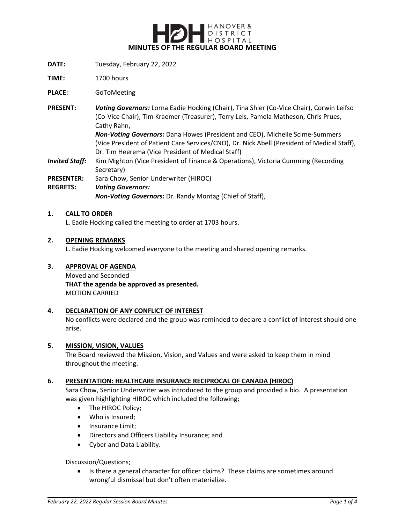

- **DATE:** Tuesday, February 22, 2022
- **TIME:** 1700 hours

**PLACE:** GoToMeeting

**PRESENT:** *Voting Governors:* Lorna Eadie Hocking (Chair), Tina Shier (Co-Vice Chair), Corwin Leifso (Co-Vice Chair), Tim Kraemer (Treasurer), Terry Leis, Pamela Matheson, Chris Prues, Cathy Rahn,

> *Non-Voting Governors:* Dana Howes (President and CEO), Michelle Scime-Summers (Vice President of Patient Care Services/CNO), Dr. Nick Abell (President of Medical Staff), Dr. Tim Heerema (Vice President of Medical Staff)

- **Invited Staff:** Kim Mighton (Vice President of Finance & Operations), Victoria Cumming (Recording Secretary)
- **PRESENTER:** Sara Chow, Senior Underwriter (HIROC)

### **REGRETS:** *Voting Governors:*

*Non-Voting Governors:* Dr. Randy Montag (Chief of Staff),

### **1. CALL TO ORDER**

L. Eadie Hocking called the meeting to order at 1703 hours.

### **2. OPENING REMARKS**

L. Eadie Hocking welcomed everyone to the meeting and shared opening remarks.

#### **3. APPROVAL OF AGENDA**

Moved and Seconded **THAT the agenda be approved as presented.** MOTION CARRIED

#### **4. DECLARATION OF ANY CONFLICT OF INTEREST**

No conflicts were declared and the group was reminded to declare a conflict of interest should one arise.

#### **5. MISSION, VISION, VALUES**

The Board reviewed the Mission, Vision, and Values and were asked to keep them in mind throughout the meeting.

### **6. PRESENTATION: HEALTHCARE INSURANCE RECIPROCAL OF CANADA (HIROC)**

Sara Chow, Senior Underwriter was introduced to the group and provided a bio. A presentation was given highlighting HIROC which included the following;

- The HIROC Policy;
- Who is Insured:
- Insurance Limit;
- Directors and Officers Liability Insurance; and
- Cyber and Data Liability.

## Discussion/Questions;

 Is there a general character for officer claims? These claims are sometimes around wrongful dismissal but don't often materialize.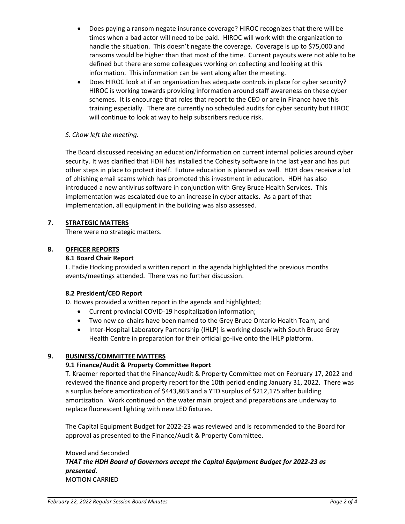- Does paying a ransom negate insurance coverage? HIROC recognizes that there will be times when a bad actor will need to be paid. HIROC will work with the organization to handle the situation. This doesn't negate the coverage. Coverage is up to \$75,000 and ransoms would be higher than that most of the time. Current payouts were not able to be defined but there are some colleagues working on collecting and looking at this information. This information can be sent along after the meeting.
- Does HIROC look at if an organization has adequate controls in place for cyber security? HIROC is working towards providing information around staff awareness on these cyber schemes. It is encourage that roles that report to the CEO or are in Finance have this training especially. There are currently no scheduled audits for cyber security but HIROC will continue to look at way to help subscribers reduce risk.

# *S. Chow left the meeting.*

The Board discussed receiving an education/information on current internal policies around cyber security. It was clarified that HDH has installed the Cohesity software in the last year and has put other steps in place to protect itself. Future education is planned as well. HDH does receive a lot of phishing email scams which has promoted this investment in education. HDH has also introduced a new antivirus software in conjunction with Grey Bruce Health Services. This implementation was escalated due to an increase in cyber attacks. As a part of that implementation, all equipment in the building was also assessed.

## **7. STRATEGIC MATTERS**

There were no strategic matters.

## **8. OFFICER REPORTS**

## **8.1 Board Chair Report**

L. Eadie Hocking provided a written report in the agenda highlighted the previous months events/meetings attended. There was no further discussion.

## **8.2 President/CEO Report**

D. Howes provided a written report in the agenda and highlighted;

- Current provincial COVID-19 hospitalization information;
- Two new co-chairs have been named to the Grey Bruce Ontario Health Team; and
- Inter-Hospital Laboratory Partnership (IHLP) is working closely with South Bruce Grey Health Centre in preparation for their official go-live onto the IHLP platform.

## **9. BUSINESS/COMMITTEE MATTERS**

## **9.1 Finance/Audit & Property Committee Report**

T. Kraemer reported that the Finance/Audit & Property Committee met on February 17, 2022 and reviewed the finance and property report for the 10th period ending January 31, 2022. There was a surplus before amortization of \$443,863 and a YTD surplus of \$212,175 after building amortization. Work continued on the water main project and preparations are underway to replace fluorescent lighting with new LED fixtures.

The Capital Equipment Budget for 2022-23 was reviewed and is recommended to the Board for approval as presented to the Finance/Audit & Property Committee.

## Moved and Seconded *THAT the HDH Board of Governors accept the Capital Equipment Budget for 2022-23 as presented.* MOTION CARRIED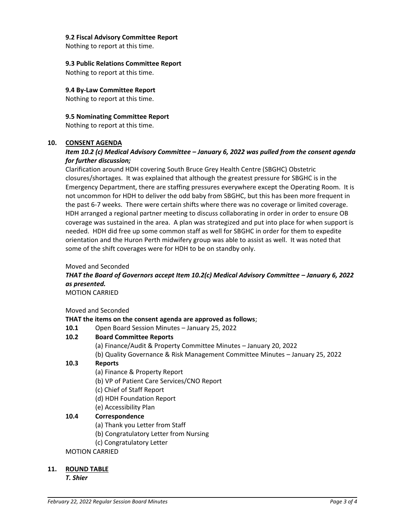## **9.2 Fiscal Advisory Committee Report**

Nothing to report at this time.

### **9.3 Public Relations Committee Report**

Nothing to report at this time.

## **9.4 By-Law Committee Report**

Nothing to report at this time.

**9.5 Nominating Committee Report** Nothing to report at this time.

### **10. CONSENT AGENDA**

## *Item 10.2 (c) Medical Advisory Committee – January 6, 2022 was pulled from the consent agenda for further discussion;*

Clarification around HDH covering South Bruce Grey Health Centre (SBGHC) Obstetric closures/shortages. It was explained that although the greatest pressure for SBGHC is in the Emergency Department, there are staffing pressures everywhere except the Operating Room. It is not uncommon for HDH to deliver the odd baby from SBGHC, but this has been more frequent in the past 6-7 weeks. There were certain shifts where there was no coverage or limited coverage. HDH arranged a regional partner meeting to discuss collaborating in order in order to ensure OB coverage was sustained in the area. A plan was strategized and put into place for when support is needed. HDH did free up some common staff as well for SBGHC in order for them to expedite orientation and the Huron Perth midwifery group was able to assist as well. It was noted that some of the shift coverages were for HDH to be on standby only.

#### Moved and Seconded

*THAT the Board of Governors accept Item 10.2(c) Medical Advisory Committee - January 6, 2022 as presented.* MOTION CARRIED

Moved and Seconded

## **THAT the items on the consent agenda are approved as follows**;

**10.1** Open Board Session Minutes – January 25, 2022

# **10.2 Board Committee Reports**

- (a) Finance/Audit & Property Committee Minutes January 20, 2022
- (b) Quality Governance & Risk Management Committee Minutes January 25, 2022

## **10.3 Reports**

- (a) Finance & Property Report
- (b) VP of Patient Care Services/CNO Report
- (c) Chief of Staff Report
- (d) HDH Foundation Report
- (e) Accessibility Plan

## **10.4 Correspondence**

- (a) Thank you Letter from Staff
- (b) Congratulatory Letter from Nursing
- (c) Congratulatory Letter

## MOTION CARRIED

## **11. ROUND TABLE**

*T. Shier*